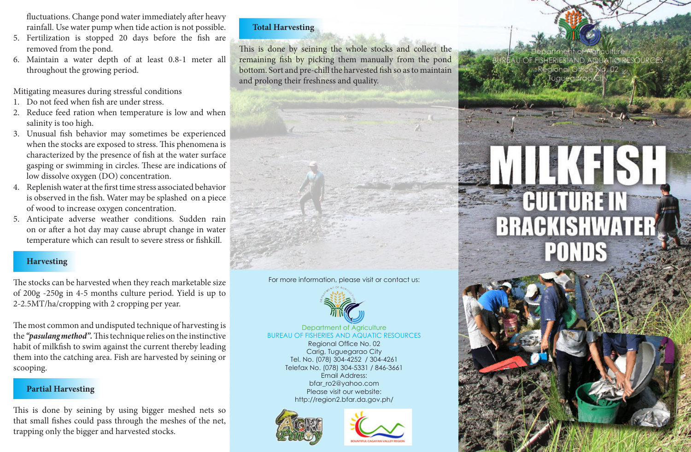fluctuations. Change pond water immediately after heavy rainfall. Use water pump when tide action is not possible.

- 5. Fertilization is stopped 20 days before the fish are removed from the pond.
- 6. Maintain a water depth of at least 0.8-1 meter all throughout the growing period.

Mitigating measures during stressful conditions

- 1. Do not feed when fish are under stress.
- 2. Reduce feed ration when temperature is low and when salinity is too high.
- 3. Unusual fish behavior may sometimes be experienced when the stocks are exposed to stress. This phenomena is characterized by the presence of fish at the water surface gasping or swimming in circles. These are indications of low dissolve oxygen (DO) concentration.
- 4. Replenish water at the first time stress associated behavior is observed in the fish. Water may be splashed on a piece of wood to increase oxygen concentration.
- 5. Anticipate adverse weather conditions. Sudden rain on or after a hot day may cause abrupt change in water temperature which can result to severe stress or fishkill.

# **Harvesting**

The stocks can be harvested when they reach marketable size of 200g -250g in 4-5 months culture period. Yield is up to 2-2.5MT/ha/cropping with 2 cropping per year.

The most common and undisputed technique of harvesting is the *"pasulang method".* This technique relies on the instinctive habit of milkfish to swim against the current thereby leading them into the catching area. Fish are harvested by seining or scooping.

# **Partial Harvesting**

This is done by seining by using bigger meshed nets so that small fishes could pass through the meshes of the net, trapping only the bigger and harvested stocks.

## **Total Harvesting**

This is done by seining the whole stocks and collect the remaining fish by picking them manually from the pond bottom. Sort and pre-chill the harvested fish so as to maintain and prolong their freshness and quality.

#### For more information, please visit or contact us:



Department of Agriculture BUREAU OF FISHERIES AND AQUATIC RESOURCES

> Regional Office No. 02 Carig, Tuguegarao City Tel. No. (078) 304-4252 / 304-4261 Telefax No. (078) 304-5331 / 846-3661 Email Address: bfar\_ro2@yahoo.com Please visit our website: http://region2.bfar.da.gov.ph/





epartment of Agriculture AU OF FISHERIES AND AQUATIC RESOURCES w. Regional Office No. 02 Tuguegarao Ci

# 14 (11 S) **EQUITURE IN BRACKISHWAT PONDS**